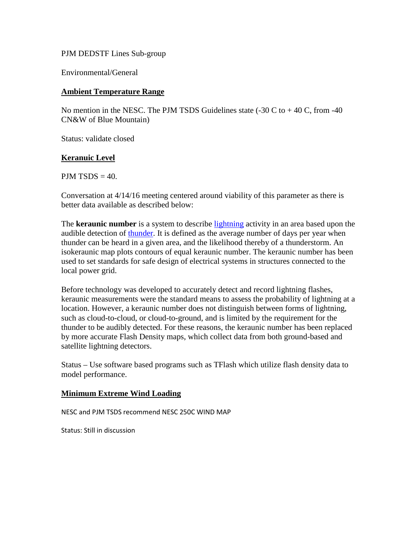#### PJM DEDSTF Lines Sub-group

Environmental/General

### **Ambient Temperature Range**

No mention in the NESC. The PJM TSDS Guidelines state  $(-30 \text{ C to } +40 \text{ C, from } -40$ CN&W of Blue Mountain)

Status: validate closed

## **Keranuic Level**

 $PJM$  TSDS  $=$  40.

Conversation at 4/14/16 meeting centered around viability of this parameter as there is better data available as described below:

The **keraunic number** is a system to describe [lightning](https://en.wikipedia.org/wiki/Lightning) activity in an area based upon the audible detection of [thunder.](https://en.wikipedia.org/wiki/Thunder) It is defined as the average number of days per year when thunder can be heard in a given area, and the likelihood thereby of a thunderstorm. An isokeraunic map plots contours of equal keraunic number. The keraunic number has been used to set standards for safe design of electrical systems in structures connected to the local power grid.

Before technology was developed to accurately detect and record lightning flashes, keraunic measurements were the standard means to assess the probability of lightning at a location. However, a keraunic number does not distinguish between forms of lightning, such as cloud-to-cloud, or cloud-to-ground, and is limited by the requirement for the thunder to be audibly detected. For these reasons, the keraunic number has been replaced by more accurate Flash Density maps, which collect data from both ground-based and satellite lightning detectors.

Status – Use software based programs such as TFlash which utilize flash density data to model performance.

## **Minimum Extreme Wind Loading**

NESC and PJM TSDS recommend NESC 250C WIND MAP

Status: Still in discussion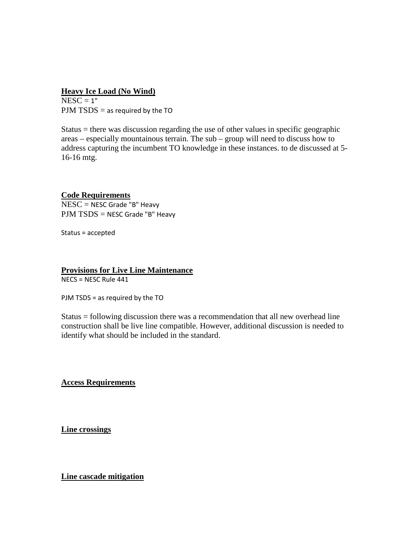### **Heavy Ice Load (No Wind)**

 $NESC = 1"$  $PJM$  TSDS = as required by the TO

Status = there was discussion regarding the use of other values in specific geographic areas – especially mountainous terrain. The sub – group will need to discuss how to address capturing the incumbent TO knowledge in these instances. to de discussed at 5- 16-16 mtg.

# **Code Requirements**

NESC = NESC Grade "B" Heavy PJM TSDS = NESC Grade "B" Heavy

Status = accepted

### **Provisions for Live Line Maintenance** NECS = NESC Rule 441

PJM TSDS = as required by the TO

Status = following discussion there was a recommendation that all new overhead line construction shall be live line compatible. However, additional discussion is needed to identify what should be included in the standard.

**Access Requirements**

**Line crossings**

**Line cascade mitigation**